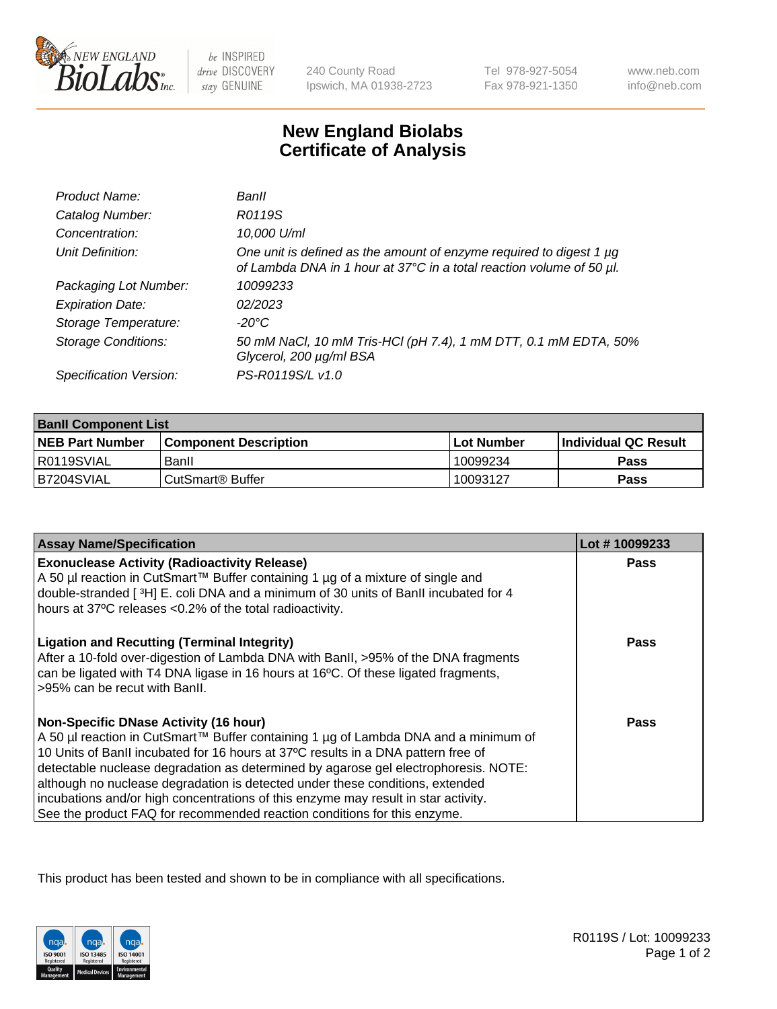

 $be$  INSPIRED drive DISCOVERY stay GENUINE

240 County Road Ipswich, MA 01938-2723 Tel 978-927-5054 Fax 978-921-1350

www.neb.com info@neb.com

## **New England Biolabs Certificate of Analysis**

| Product Name:              | Banll                                                                                                                                       |
|----------------------------|---------------------------------------------------------------------------------------------------------------------------------------------|
| Catalog Number:            | R0119S                                                                                                                                      |
| Concentration:             | 10,000 U/ml                                                                                                                                 |
| Unit Definition:           | One unit is defined as the amount of enzyme required to digest 1 µg<br>of Lambda DNA in 1 hour at 37°C in a total reaction volume of 50 µl. |
| Packaging Lot Number:      | 10099233                                                                                                                                    |
| <b>Expiration Date:</b>    | 02/2023                                                                                                                                     |
| Storage Temperature:       | $-20^{\circ}$ C                                                                                                                             |
| <b>Storage Conditions:</b> | 50 mM NaCl, 10 mM Tris-HCl (pH 7.4), 1 mM DTT, 0.1 mM EDTA, 50%<br>Glycerol, 200 µg/ml BSA                                                  |
| Specification Version:     | PS-R0119S/L v1.0                                                                                                                            |

| <b>Banil Component List</b> |                         |             |                             |  |
|-----------------------------|-------------------------|-------------|-----------------------------|--|
| <b>NEB Part Number</b>      | l Component Description | ⊺Lot Number | <b>Individual QC Result</b> |  |
| R0119SVIAL                  | Banll                   | 10099234    | Pass                        |  |
| B7204SVIAL                  | l CutSmart® Buffer      | 10093127    | Pass                        |  |

| <b>Assay Name/Specification</b>                                                                                                                                                                                                                                                                                                                                                                                                                                                                                                                                    | Lot #10099233 |
|--------------------------------------------------------------------------------------------------------------------------------------------------------------------------------------------------------------------------------------------------------------------------------------------------------------------------------------------------------------------------------------------------------------------------------------------------------------------------------------------------------------------------------------------------------------------|---------------|
| <b>Exonuclease Activity (Radioactivity Release)</b><br>A 50 µl reaction in CutSmart™ Buffer containing 1 µg of a mixture of single and<br>double-stranded [3H] E. coli DNA and a minimum of 30 units of BanII incubated for 4<br>hours at 37°C releases <0.2% of the total radioactivity.                                                                                                                                                                                                                                                                          | <b>Pass</b>   |
| <b>Ligation and Recutting (Terminal Integrity)</b><br>After a 10-fold over-digestion of Lambda DNA with BanII, >95% of the DNA fragments<br>can be ligated with T4 DNA ligase in 16 hours at 16°C. Of these ligated fragments,<br>>95% can be recut with Banll.                                                                                                                                                                                                                                                                                                    | Pass          |
| <b>Non-Specific DNase Activity (16 hour)</b><br>A 50 µl reaction in CutSmart™ Buffer containing 1 µg of Lambda DNA and a minimum of<br>10 Units of BanII incubated for 16 hours at 37°C results in a DNA pattern free of<br>detectable nuclease degradation as determined by agarose gel electrophoresis. NOTE:<br>although no nuclease degradation is detected under these conditions, extended<br>incubations and/or high concentrations of this enzyme may result in star activity.<br>See the product FAQ for recommended reaction conditions for this enzyme. | <b>Pass</b>   |

This product has been tested and shown to be in compliance with all specifications.